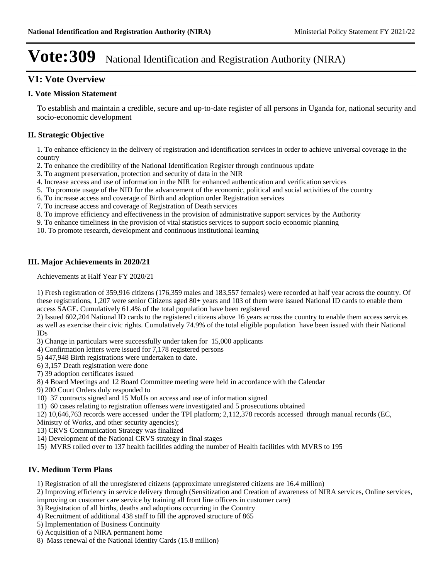## **V1: Vote Overview**

## **I. Vote Mission Statement**

To establish and maintain a credible, secure and up-to-date register of all persons in Uganda for, national security and socio-economic development

## **II. Strategic Objective**

1. To enhance efficiency in the delivery of registration and identification services in order to achieve universal coverage in the country

- 2. To enhance the credibility of the National Identification Register through continuous update
- 3. To augment preservation, protection and security of data in the NIR
- 4. Increase access and use of information in the NIR for enhanced authentication and verification services
- 5. To promote usage of the NID for the advancement of the economic, political and social activities of the country
- 6. To increase access and coverage of Birth and adoption order Registration services
- 7. To increase access and coverage of Registration of Death services
- 8. To improve efficiency and effectiveness in the provision of administrative support services by the Authority
- 9. To enhance timeliness in the provision of vital statistics services to support socio economic planning

10. To promote research, development and continuous institutional learning

## **III. Major Achievements in 2020/21**

Achievements at Half Year FY 2020/21

1) Fresh registration of 359,916 citizens (176,359 males and 183,557 females) were recorded at half year across the country. Of these registrations, 1,207 were senior Citizens aged 80+ years and 103 of them were issued National ID cards to enable them access SAGE. Cumulatively 61.4% of the total population have been registered

2) Issued 602,204 National ID cards to the registered citizens above 16 years across the country to enable them access services as well as exercise their civic rights. Cumulatively 74.9% of the total eligible population have been issued with their National IDs

3) Change in particulars were successfully under taken for 15,000 applicants

4) Confirmation letters were issued for 7,178 registered persons

5) 447,948 Birth registrations were undertaken to date.

6) 3,157 Death registration were done

7) 39 adoption certificates issued

8) 4 Board Meetings and 12 Board Committee meeting were held in accordance with the Calendar

9) 200 Court Orders duly responded to

10) 37 contracts signed and 15 MoUs on access and use of information signed

11) 60 cases relating to registration offenses were investigated and 5 prosecutions obtained

12) 10,646,763 records were accessed under the TPI platform; 2,112,378 records accessed through manual records (EC,

Ministry of Works, and other security agencies);

13) CRVS Communication Strategy was finalized

14) Development of the National CRVS strategy in final stages

15) MVRS rolled over to 137 health facilities adding the number of Health facilities with MVRS to 195

## **IV. Medium Term Plans**

1) Registration of all the unregistered citizens (approximate unregistered citizens are 16.4 million)

2) Improving efficiency in service delivery through (Sensitization and Creation of awareness of NIRA services, Online services, improving on customer care service by training all front line officers in customer care)

3) Registration of all births, deaths and adoptions occurring in the Country

4) Recruitment of additional 438 staff to fill the approved structure of 865

5) Implementation of Business Continuity

6) Acquisition of a NIRA permanent home

8) Mass renewal of the National Identity Cards (15.8 million)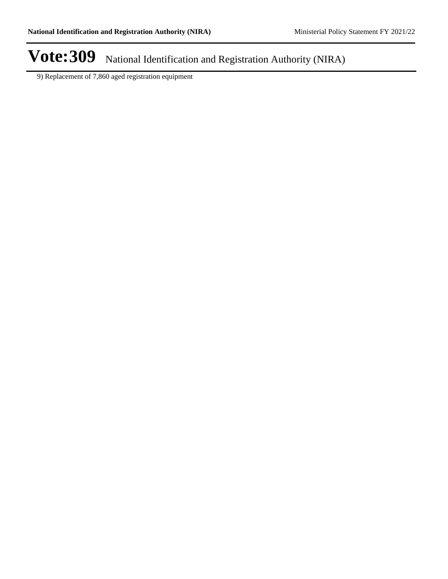9) Replacement of 7,860 aged registration equipment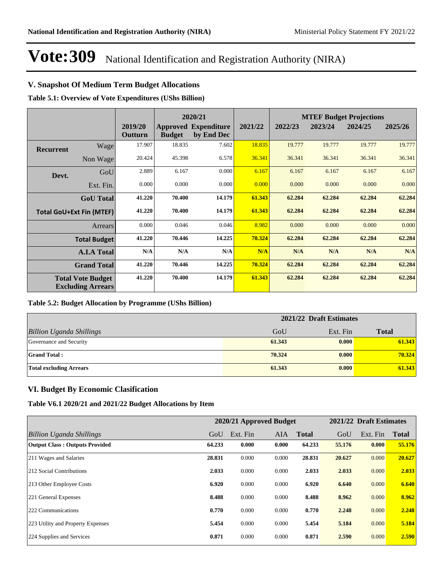## **V. Snapshot Of Medium Term Budget Allocations**

**Table 5.1: Overview of Vote Expenditures (UShs Billion)**

|                  |                                                      |                    |               | 2020/21                                   |         |         |         | <b>MTEF Budget Projections</b> |         |
|------------------|------------------------------------------------------|--------------------|---------------|-------------------------------------------|---------|---------|---------|--------------------------------|---------|
|                  |                                                      | 2019/20<br>Outturn | <b>Budget</b> | <b>Approved Expenditure</b><br>by End Dec | 2021/22 | 2022/23 | 2023/24 | 2024/25                        | 2025/26 |
| <b>Recurrent</b> | Wage                                                 | 17.907             | 18.835        | 7.602                                     | 18.835  | 19.777  | 19.777  | 19.777                         | 19.777  |
|                  | Non Wage                                             | 20.424             | 45.398        | 6.578                                     | 36.341  | 36.341  | 36.341  | 36.341                         | 36.341  |
| Devt.            | GoU                                                  | 2.889              | 6.167         | 0.000                                     | 6.167   | 6.167   | 6.167   | 6.167                          | 6.167   |
|                  | Ext. Fin.                                            | 0.000              | 0.000         | 0.000                                     | 0.000   | 0.000   | 0.000   | 0.000                          | 0.000   |
|                  | <b>GoU</b> Total                                     | 41.220             | 70.400        | 14.179                                    | 61.343  | 62.284  | 62.284  | 62.284                         | 62.284  |
|                  | <b>Total GoU+Ext Fin (MTEF)</b>                      | 41.220             | 70.400        | 14.179                                    | 61.343  | 62.284  | 62.284  | 62.284                         | 62.284  |
|                  | Arrears                                              | 0.000              | 0.046         | 0.046                                     | 8.982   | 0.000   | 0.000   | 0.000                          | 0.000   |
|                  | <b>Total Budget</b>                                  | 41.220             | 70.446        | 14.225                                    | 70.324  | 62.284  | 62.284  | 62.284                         | 62.284  |
|                  | <b>A.I.A Total</b>                                   | N/A                | N/A           | N/A                                       | N/A     | N/A     | N/A     | N/A                            | N/A     |
|                  | <b>Grand Total</b>                                   | 41.220             | 70.446        | 14.225                                    | 70.324  | 62.284  | 62.284  | 62.284                         | 62.284  |
|                  | <b>Total Vote Budget</b><br><b>Excluding Arrears</b> | 41.220             | 70.400        | 14.179                                    | 61.343  | 62.284  | 62.284  | 62.284                         | 62.284  |

### **Table 5.2: Budget Allocation by Programme (UShs Billion)**

|                                 | 2021/22 Draft Estimates |          |              |  |  |
|---------------------------------|-------------------------|----------|--------------|--|--|
| <b>Billion Uganda Shillings</b> | GoU                     | Ext. Fin | <b>Total</b> |  |  |
| Governance and Security         | 61.343                  | 0.000    | 61.343       |  |  |
| <b>Grand Total:</b>             | 70.324                  | 0.000    | 70.324       |  |  |
| <b>Total excluding Arrears</b>  | 61.343                  | 0.000    | 61.343       |  |  |

## **VI. Budget By Economic Clasification**

**Table V6.1 2020/21 and 2021/22 Budget Allocations by Item**

|                                       |        | 2020/21 Approved Budget |            |              |        | 2021/22 Draft Estimates |              |
|---------------------------------------|--------|-------------------------|------------|--------------|--------|-------------------------|--------------|
| Billion Uganda Shillings              | GoU    | Ext. Fin                | <b>AIA</b> | <b>Total</b> | GoU    | Ext. Fin                | <b>Total</b> |
| <b>Output Class: Outputs Provided</b> | 64.233 | 0.000                   | 0.000      | 64.233       | 55.176 | 0.000                   | 55.176       |
| 211 Wages and Salaries                | 28.831 | 0.000                   | 0.000      | 28.831       | 20.627 | 0.000                   | 20.627       |
| 212 Social Contributions              | 2.033  | 0.000                   | 0.000      | 2.033        | 2.033  | 0.000                   | 2.033        |
| 213 Other Employee Costs              | 6.920  | 0.000                   | 0.000      | 6.920        | 6.640  | 0.000                   | 6.640        |
| 221 General Expenses                  | 8.488  | 0.000                   | 0.000      | 8.488        | 8.962  | 0.000                   | 8.962        |
| 222 Communications                    | 0.770  | 0.000                   | 0.000      | 0.770        | 2.248  | 0.000                   | 2.248        |
| 223 Utility and Property Expenses     | 5.454  | 0.000                   | 0.000      | 5.454        | 5.184  | 0.000                   | 5.184        |
| 224 Supplies and Services             | 0.871  | 0.000                   | 0.000      | 0.871        | 2.590  | 0.000                   | 2.590        |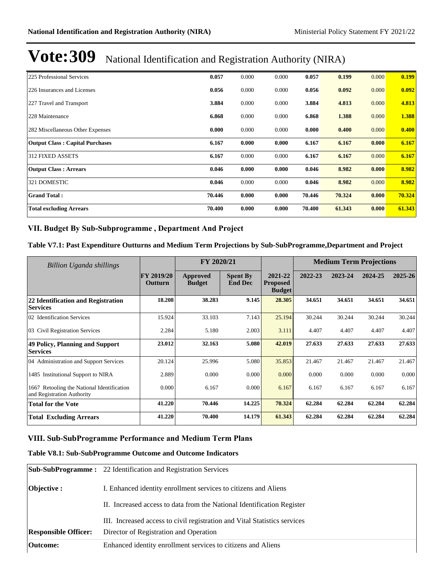| 225 Professional Services              | 0.057  | 0.000 | 0.000 | 0.057  | 0.199  | 0.000 | 0.199  |
|----------------------------------------|--------|-------|-------|--------|--------|-------|--------|
| 226 Insurances and Licenses            | 0.056  | 0.000 | 0.000 | 0.056  | 0.092  | 0.000 | 0.092  |
| 227 Travel and Transport               | 3.884  | 0.000 | 0.000 | 3.884  | 4.813  | 0.000 | 4.813  |
| 228 Maintenance                        | 6.868  | 0.000 | 0.000 | 6.868  | 1.388  | 0.000 | 1.388  |
| 282 Miscellaneous Other Expenses       | 0.000  | 0.000 | 0.000 | 0.000  | 0.400  | 0.000 | 0.400  |
| <b>Output Class: Capital Purchases</b> | 6.167  | 0.000 | 0.000 | 6.167  | 6.167  | 0.000 | 6.167  |
| <b>312 FIXED ASSETS</b>                | 6.167  | 0.000 | 0.000 | 6.167  | 6.167  | 0.000 | 6.167  |
| <b>Output Class: Arrears</b>           | 0.046  | 0.000 | 0.000 | 0.046  | 8.982  | 0.000 | 8.982  |
| 321 DOMESTIC                           | 0.046  | 0.000 | 0.000 | 0.046  | 8.982  | 0.000 | 8.982  |
| <b>Grand Total:</b>                    | 70.446 | 0.000 | 0.000 | 70.446 | 70.324 | 0.000 | 70.324 |
| <b>Total excluding Arrears</b>         | 70.400 | 0.000 | 0.000 | 70.400 | 61.343 | 0.000 | 61.343 |

### VII. Budget By Sub-Subprogramme, Department And Project

### **Table V7.1: Past Expenditure Outturns and Medium Term Projections by Sub-SubProgramme,Department and Project**

| Billion Uganda shillings                                                 |                              | FY 2020/21                |                                   |                                             |         | <b>Medium Term Projections</b> |         |         |
|--------------------------------------------------------------------------|------------------------------|---------------------------|-----------------------------------|---------------------------------------------|---------|--------------------------------|---------|---------|
|                                                                          | <b>FY 2019/20</b><br>Outturn | Approved<br><b>Budget</b> | <b>Spent By</b><br><b>End Dec</b> | 2021-22<br><b>Proposed</b><br><b>Budget</b> | 2022-23 | 2023-24                        | 2024-25 | 2025-26 |
| 22 Identification and Registration<br><b>Services</b>                    | 18.208                       | 38.283                    | 9.145                             | 28.305                                      | 34.651  | 34.651                         | 34.651  | 34.651  |
| 02 Identification Services                                               | 15.924                       | 33.103                    | 7.143                             | 25.194                                      | 30.244  | 30.244                         | 30.244  | 30.244  |
| 03 Civil Registration Services                                           | 2.284                        | 5.180                     | 2.003                             | 3.111                                       | 4.407   | 4.407                          | 4.407   | 4.407   |
| 49 Policy, Planning and Support<br><b>Services</b>                       | 23.012                       | 32.163                    | 5.080                             | 42.019                                      | 27.633  | 27.633                         | 27.633  | 27.633  |
| 04 Administration and Support Services                                   | 20.124                       | 25.996                    | 5.080                             | 35.853                                      | 21.467  | 21.467                         | 21.467  | 21.467  |
| 1485 Institutional Support to NIRA                                       | 2.889                        | 0.000                     | 0.000                             | 0.000                                       | 0.000   | 0.000                          | 0.000   | 0.000   |
| 1667 Retooling the National Identification<br>and Registration Authority | 0.000                        | 6.167                     | 0.000                             | 6.167                                       | 6.167   | 6.167                          | 6.167   | 6.167   |
| <b>Total for the Vote</b>                                                | 41.220                       | 70.446                    | 14.225                            | 70.324                                      | 62.284  | 62.284                         | 62.284  | 62.284  |
| <b>Total Excluding Arrears</b>                                           | 41.220                       | 70.400                    | 14.179                            | 61.343                                      | 62.284  | 62.284                         | 62.284  | 62.284  |

### **VIII. Sub-SubProgramme Performance and Medium Term Plans**

## **Table V8.1: Sub-SubProgramme Outcome and Outcome Indicators**

|                             | <b>Sub-SubProgramme:</b> 22 Identification and Registration Services      |
|-----------------------------|---------------------------------------------------------------------------|
| Objective :                 | I. Enhanced identity enrollment services to citizens and Aliens           |
|                             | II. Increased access to data from the National Identification Register    |
|                             | III. Increased access to civil registration and Vital Statistics services |
| <b>Responsible Officer:</b> | Director of Registration and Operation                                    |
| Outcome:                    | Enhanced identity enrollment services to citizens and Aliens              |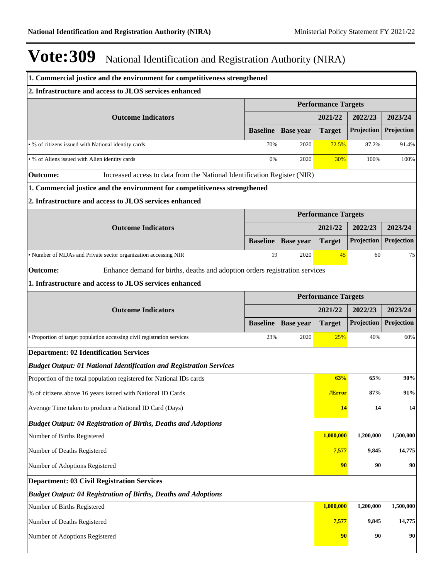| 1. Commercial justice and the environment for competitiveness strengthened                     |                 |                            |                            |            |            |  |  |
|------------------------------------------------------------------------------------------------|-----------------|----------------------------|----------------------------|------------|------------|--|--|
| 2. Infrastructure and access to JLOS services enhanced                                         |                 |                            |                            |            |            |  |  |
|                                                                                                |                 |                            | <b>Performance Targets</b> |            |            |  |  |
| <b>Outcome Indicators</b>                                                                      |                 |                            | 2021/22                    | 2022/23    | 2023/24    |  |  |
|                                                                                                | <b>Baseline</b> | <b>Base year</b>           | <b>Target</b>              | Projection | Projection |  |  |
| . % of citizens issued with National identity cards                                            | 70%             | 2020                       | 72.5%                      | 87.2%      | 91.4%      |  |  |
| • % of Aliens issued with Alien identity cards                                                 | 0%              | 2020                       | 30%                        | 100%       | 100%       |  |  |
| Increased access to data from the National Identification Register (NIR)<br><b>Outcome:</b>    |                 |                            |                            |            |            |  |  |
| 1. Commercial justice and the environment for competitiveness strengthened                     |                 |                            |                            |            |            |  |  |
| 2. Infrastructure and access to JLOS services enhanced                                         |                 |                            |                            |            |            |  |  |
|                                                                                                |                 |                            | <b>Performance Targets</b> |            |            |  |  |
| <b>Outcome Indicators</b>                                                                      |                 |                            | 2021/22                    | 2022/23    | 2023/24    |  |  |
|                                                                                                | <b>Baseline</b> | <b>Base year</b>           | <b>Target</b>              | Projection | Projection |  |  |
| · Number of MDAs and Private sector organization accessing NIR                                 | 19              | 2020                       | 45                         | 60         | 75         |  |  |
| Enhance demand for births, deaths and adoption orders registration services<br><b>Outcome:</b> |                 |                            |                            |            |            |  |  |
| 1. Infrastructure and access to JLOS services enhanced                                         |                 |                            |                            |            |            |  |  |
|                                                                                                |                 | <b>Performance Targets</b> |                            |            |            |  |  |
| <b>Outcome Indicators</b>                                                                      |                 |                            | 2021/22                    | 2022/23    | 2023/24    |  |  |
|                                                                                                | <b>Baseline</b> | <b>Base year</b>           | <b>Target</b>              | Projection | Projection |  |  |
| · Proportion of target population accessing civil registration services                        | 23%             | 2020                       | 25%                        | 40%        | 60%        |  |  |
| <b>Department: 02 Identification Services</b>                                                  |                 |                            |                            |            |            |  |  |
| <b>Budget Output: 01 National Identification and Registration Services</b>                     |                 |                            |                            |            |            |  |  |
| Proportion of the total population registered for National IDs cards                           |                 |                            | 63%                        | 65%        | 90%        |  |  |
| % of citizens above 16 years issued with National ID Cards                                     |                 |                            | #Error                     | 87%        | 91%        |  |  |
| Average Time taken to produce a National ID Card (Days)                                        |                 |                            | 14                         | 14         | 14         |  |  |
| <b>Budget Output: 04 Registration of Births, Deaths and Adoptions</b>                          |                 |                            |                            |            |            |  |  |
| Number of Births Registered                                                                    |                 |                            | 1,000,000                  | 1,200,000  | 1,500,000  |  |  |
| Number of Deaths Registered                                                                    |                 |                            | 7,577                      | 9,845      | 14,775     |  |  |
| Number of Adoptions Registered                                                                 |                 |                            | 90                         | 90         | 90         |  |  |
| <b>Department: 03 Civil Registration Services</b>                                              |                 |                            |                            |            |            |  |  |
| <b>Budget Output: 04 Registration of Births, Deaths and Adoptions</b>                          |                 |                            |                            |            |            |  |  |
| Number of Births Registered                                                                    |                 |                            | 1,000,000                  | 1,200,000  | 1,500,000  |  |  |
| Number of Deaths Registered                                                                    |                 |                            | 7,577                      | 9,845      | 14,775     |  |  |
| Number of Adoptions Registered                                                                 |                 |                            | 90                         | 90         | 90         |  |  |
|                                                                                                |                 |                            |                            |            |            |  |  |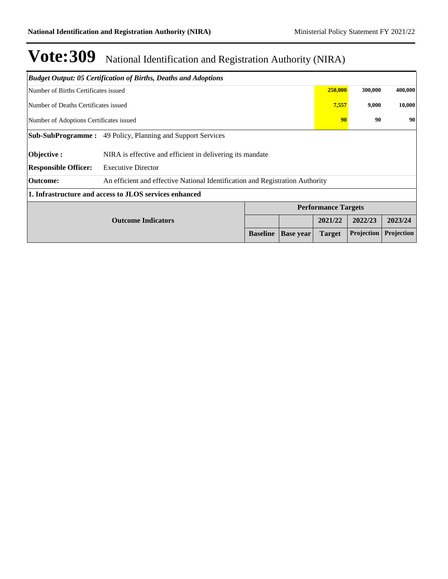|                                                                   | <b>Budget Output: 05 Certification of Births, Deaths and Adoptions</b>        |                 |                  |                            |                   |            |
|-------------------------------------------------------------------|-------------------------------------------------------------------------------|-----------------|------------------|----------------------------|-------------------|------------|
| Number of Births Certificates issued                              |                                                                               |                 |                  | 250,000                    | 300,000           | 400,000    |
| Number of Deaths Certificates issued                              |                                                                               |                 |                  |                            | 7,557<br>9,000    | 10,000     |
| Number of Adoptions Certificates issued                           |                                                                               |                 |                  |                            | 90<br>90          | 90         |
| <b>Sub-SubProgramme:</b> 49 Policy, Planning and Support Services |                                                                               |                 |                  |                            |                   |            |
| Objective :                                                       | NIRA is effective and efficient in delivering its mandate                     |                 |                  |                            |                   |            |
| <b>Responsible Officer:</b>                                       | <b>Executive Director</b>                                                     |                 |                  |                            |                   |            |
| <b>Outcome:</b>                                                   | An efficient and effective National Identification and Registration Authority |                 |                  |                            |                   |            |
|                                                                   | 1. Infrastructure and access to JLOS services enhanced                        |                 |                  |                            |                   |            |
|                                                                   |                                                                               |                 |                  | <b>Performance Targets</b> |                   |            |
|                                                                   | <b>Outcome Indicators</b>                                                     |                 |                  | 2021/22                    | 2022/23           | 2023/24    |
|                                                                   |                                                                               | <b>Baseline</b> | <b>Base year</b> | <b>Target</b>              | <b>Projection</b> | Projection |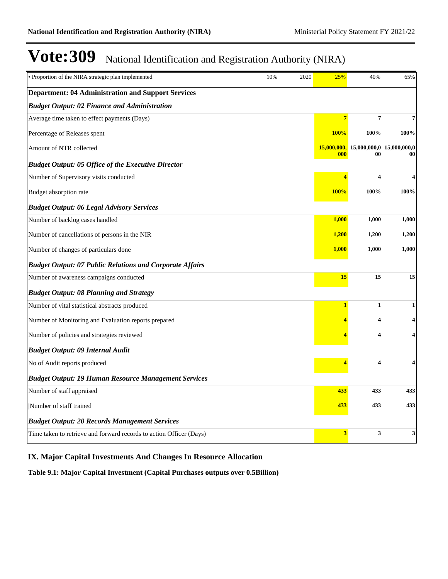| · Proportion of the NIRA strategic plan implemented                 | 10% | 2020 | 25%            | 40%                                             | 65%                     |
|---------------------------------------------------------------------|-----|------|----------------|-------------------------------------------------|-------------------------|
| <b>Department: 04 Administration and Support Services</b>           |     |      |                |                                                 |                         |
| <b>Budget Output: 02 Finance and Administration</b>                 |     |      |                |                                                 |                         |
| Average time taken to effect payments (Days)                        |     |      | $\overline{7}$ | $\overline{\mathbf{7}}$                         | 7                       |
| Percentage of Releases spent                                        |     |      | <b>100%</b>    | 100%                                            | 100%                    |
| Amount of NTR collected                                             |     |      | 000            | $15,000,000, 15,000,000, 0 15,000,000, 0$<br>00 | 00                      |
| <b>Budget Output: 05 Office of the Executive Director</b>           |     |      |                |                                                 |                         |
| Number of Supervisory visits conducted                              |     |      | $\overline{4}$ | $\overline{\mathbf{4}}$                         | $\overline{\mathbf{4}}$ |
| Budget absorption rate                                              |     |      | <b>100%</b>    | 100%                                            | 100%                    |
| <b>Budget Output: 06 Legal Advisory Services</b>                    |     |      |                |                                                 |                         |
| Number of backlog cases handled                                     |     |      | 1,000          | 1,000                                           | 1,000                   |
| Number of cancellations of persons in the NIR                       |     |      | 1,200          | 1,200                                           | 1,200                   |
| Number of changes of particulars done                               |     |      | 1,000          | 1,000                                           | 1,000                   |
| <b>Budget Output: 07 Public Relations and Corporate Affairs</b>     |     |      |                |                                                 |                         |
| Number of awareness campaigns conducted                             |     |      | 15             | 15                                              | 15                      |
| <b>Budget Output: 08 Planning and Strategy</b>                      |     |      |                |                                                 |                         |
| Number of vital statistical abstracts produced                      |     |      | 1              | $\mathbf{1}$                                    | 1                       |
| Number of Monitoring and Evaluation reports prepared                |     |      |                | 4                                               | 4                       |
| Number of policies and strategies reviewed                          |     |      |                | 4                                               | 4                       |
| <b>Budget Output: 09 Internal Audit</b>                             |     |      |                |                                                 |                         |
| No of Audit reports produced                                        |     |      | 4              | $\overline{\mathbf{4}}$                         | 4                       |
| <b>Budget Output: 19 Human Resource Management Services</b>         |     |      |                |                                                 |                         |
| Number of staff appraised                                           |     |      | 433            | 433                                             | 433                     |
| Number of staff trained                                             |     |      | 433            | 433                                             | 433                     |
| <b>Budget Output: 20 Records Management Services</b>                |     |      |                |                                                 |                         |
| Time taken to retrieve and forward records to action Officer (Days) |     |      | 3              | 3                                               | 3                       |

## **IX. Major Capital Investments And Changes In Resource Allocation**

**Table 9.1: Major Capital Investment (Capital Purchases outputs over 0.5Billion)**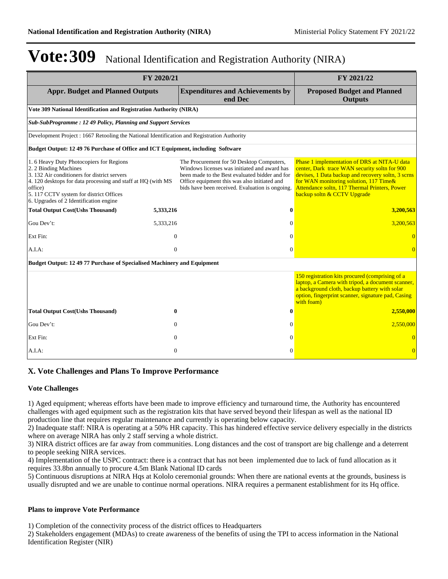| FY 2020/21                                                                                                                                                                                                                                                                      |              |                                                                                                                                                                                                                                                | FY 2021/22                                                                                                                                                                                                                                                                    |
|---------------------------------------------------------------------------------------------------------------------------------------------------------------------------------------------------------------------------------------------------------------------------------|--------------|------------------------------------------------------------------------------------------------------------------------------------------------------------------------------------------------------------------------------------------------|-------------------------------------------------------------------------------------------------------------------------------------------------------------------------------------------------------------------------------------------------------------------------------|
| <b>Appr. Budget and Planned Outputs</b>                                                                                                                                                                                                                                         |              | <b>Expenditures and Achievements by</b><br>end Dec                                                                                                                                                                                             | <b>Proposed Budget and Planned</b><br><b>Outputs</b>                                                                                                                                                                                                                          |
| Vote 309 National Identification and Registration Authority (NIRA)                                                                                                                                                                                                              |              |                                                                                                                                                                                                                                                |                                                                                                                                                                                                                                                                               |
| <b>Sub-SubProgramme: 12 49 Policy, Planning and Support Services</b>                                                                                                                                                                                                            |              |                                                                                                                                                                                                                                                |                                                                                                                                                                                                                                                                               |
| Development Project : 1667 Retooling the National Identification and Registration Authority                                                                                                                                                                                     |              |                                                                                                                                                                                                                                                |                                                                                                                                                                                                                                                                               |
| Budget Output: 12 49 76 Purchase of Office and ICT Equipment, including Software                                                                                                                                                                                                |              |                                                                                                                                                                                                                                                |                                                                                                                                                                                                                                                                               |
| 1.6 Heavy Duty Photocopiers for Regions<br>2. 2 Binding Machines<br>3. 132 Air conditioners for district servers<br>4.120 desktops for data processing and staff at HQ (with MS)<br>office)<br>5.117 CCTV system for district Offices<br>6. Upgrades of 2 Identification engine |              | The Procurement for 50 Desktop Computers,<br>Windows licenses was initiated and award has<br>been made to the Best evaluated bidder and for<br>Office equipment this was also initiated and<br>bids have been received. Evaluation is ongoing. | Phase 1 implementation of DRS at NITA-U data<br>center, Dark trace WAN security soltn for 900<br>devises, 1 Data backup and recovery soltn, 3 scrns<br>for WAN monitoring solution, 117 Time&<br>Attendance soltn, 117 Thermal Printers, Power<br>backup soltn & CCTV Upgrade |
| <b>Total Output Cost(Ushs Thousand)</b>                                                                                                                                                                                                                                         | 5,333,216    |                                                                                                                                                                                                                                                | 3,200,563                                                                                                                                                                                                                                                                     |
| Gou Dev't:                                                                                                                                                                                                                                                                      | 5,333,216    | $\Omega$                                                                                                                                                                                                                                       | 3,200,563                                                                                                                                                                                                                                                                     |
| Ext Fin:                                                                                                                                                                                                                                                                        | $\mathbf{0}$ | 0                                                                                                                                                                                                                                              |                                                                                                                                                                                                                                                                               |
| A.I.A:                                                                                                                                                                                                                                                                          | $\theta$     | $\Omega$                                                                                                                                                                                                                                       |                                                                                                                                                                                                                                                                               |
| Budget Output: 12 49 77 Purchase of Specialised Machinery and Equipment                                                                                                                                                                                                         |              |                                                                                                                                                                                                                                                |                                                                                                                                                                                                                                                                               |
|                                                                                                                                                                                                                                                                                 |              |                                                                                                                                                                                                                                                | 150 registration kits procured (comprising of a<br>laptop, a Camera with tripod, a document scanner,<br>a background cloth, backup battery with solar<br>option, fingerprint scanner, signature pad, Casing<br>with foam)                                                     |
| <b>Total Output Cost(Ushs Thousand)</b>                                                                                                                                                                                                                                         | 0            | 0                                                                                                                                                                                                                                              | 2,550,000                                                                                                                                                                                                                                                                     |
| Gou Dev't:                                                                                                                                                                                                                                                                      | $\Omega$     | $\Omega$                                                                                                                                                                                                                                       | 2,550,000                                                                                                                                                                                                                                                                     |
| Ext Fin:                                                                                                                                                                                                                                                                        | $\Omega$     | $\Omega$                                                                                                                                                                                                                                       |                                                                                                                                                                                                                                                                               |
| A.I.A.                                                                                                                                                                                                                                                                          | $\mathbf{0}$ | $\Omega$                                                                                                                                                                                                                                       |                                                                                                                                                                                                                                                                               |

### **X. Vote Challenges and Plans To Improve Performance**

#### **Vote Challenges**

1) Aged equipment; whereas efforts have been made to improve efficiency and turnaround time, the Authority has encountered challenges with aged equipment such as the registration kits that have served beyond their lifespan as well as the national ID production line that requires regular maintenance and currently is operating below capacity.

2) Inadequate staff: NIRA is operating at a 50% HR capacity. This has hindered effective service delivery especially in the districts where on average NIRA has only 2 staff serving a whole district.

3) NIRA district offices are far away from communities. Long distances and the cost of transport are big challenge and a deterrent to people seeking NIRA services.

4) Implementation of the USPC contract: there is a contract that has not been implemented due to lack of fund allocation as it requires 33.8bn annually to procure 4.5m Blank National ID cards

5) Continuous disruptions at NIRA Hqs at Kololo ceremonial grounds: When there are national events at the grounds, business is usually disrupted and we are unable to continue normal operations. NIRA requires a permanent establishment for its Hq office.

#### **Plans to improve Vote Performance**

1) Completion of the connectivity process of the district offices to Headquarters

2) Stakeholders engagement (MDAs) to create awareness of the benefits of using the TPI to access information in the National Identification Register (NIR)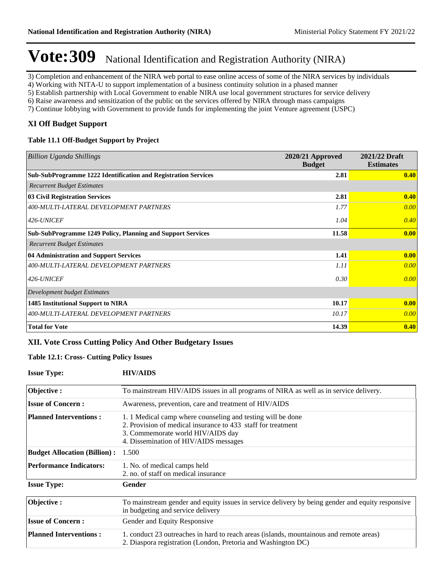3) Completion and enhancement of the NIRA web portal to ease online access of some of the NIRA services by individuals

4) Working with NITA-U to support implementation of a business continuity solution in a phased manner

5) Establish partnership with Local Government to enable NIRA use local government structures for service delivery

6) Raise awareness and sensitization of the public on the services offered by NIRA through mass campaigns

7) Continue lobbying with Government to provide funds for implementing the joint Venture agreement (USPC)

### **XI Off Budget Support**

### **Table 11.1 Off-Budget Support by Project**

| <b>Billion Uganda Shillings</b>                                    | 2020/21 Approved<br><b>Budget</b> | 2021/22 Draft<br><b>Estimates</b> |
|--------------------------------------------------------------------|-----------------------------------|-----------------------------------|
| Sub-SubProgramme 1222 Identification and Registration Services     | 2.81                              | 0.40                              |
| <b>Recurrent Budget Estimates</b>                                  |                                   |                                   |
| 03 Civil Registration Services                                     | 2.81                              | 0.40                              |
| 400-MULTI-LATERAL DEVELOPMENT PARTNERS                             | 1.77                              | 0.00                              |
| 426-UNICEF                                                         | 1.04                              | 0.40                              |
| <b>Sub-SubProgramme 1249 Policy, Planning and Support Services</b> | 11.58                             | 0.00                              |
| <b>Recurrent Budget Estimates</b>                                  |                                   |                                   |
| 04 Administration and Support Services                             | 1.41                              | 0.00                              |
| 400-MULTI-LATERAL DEVELOPMENT PARTNERS                             | 1.11                              | 0.00                              |
| 426-UNICEF                                                         | 0.30                              | 0.00                              |
| Development budget Estimates                                       |                                   |                                   |
| 1485 Institutional Support to NIRA                                 | 10.17                             | 0.00                              |
| 400-MULTI-LATERAL DEVELOPMENT PARTNERS                             | 10.17                             | 0.00                              |
| <b>Total for Vote</b>                                              | 14.39                             | 0.40                              |

### **XII. Vote Cross Cutting Policy And Other Budgetary Issues**

### **Table 12.1: Cross- Cutting Policy Issues**

### **Issue Type: HIV/AIDS**

| Objective:                          | To mainstream HIV/AIDS issues in all programs of NIRA as well as in service delivery.                                                                                                                     |
|-------------------------------------|-----------------------------------------------------------------------------------------------------------------------------------------------------------------------------------------------------------|
| <b>Issue of Concern:</b>            | Awareness, prevention, care and treatment of HIV/AIDS                                                                                                                                                     |
| <b>Planned Interventions:</b>       | 1. 1 Medical camp where counseling and testing will be done<br>2. Provision of medical insurance to 433 staff for treatment<br>3. Commemorate world HIV/AIDS day<br>4. Dissemination of HIV/AIDS messages |
| <b>Budget Allocation (Billion):</b> | 1.500                                                                                                                                                                                                     |
| <b>Performance Indicators:</b>      | 1. No. of medical camps held<br>2. no. of staff on medical insurance                                                                                                                                      |
| <b>Issue Type:</b>                  | Gender                                                                                                                                                                                                    |
| Objective:                          | To mainstream gender and equity issues in service delivery by being gender and equity responsive<br>in budgeting and service delivery                                                                     |
| <b>Issue of Concern:</b>            | Gender and Equity Responsive                                                                                                                                                                              |
| <b>Planned Interventions:</b>       | 1. conduct 23 outreaches in hard to reach areas (islands, mountainous and remote areas)<br>2. Diaspora registration (London, Pretoria and Washington DC)                                                  |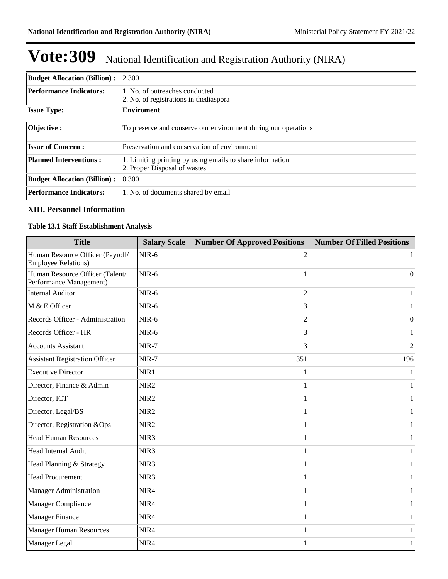| <b>Budget Allocation (Billion):</b> 2.300 |                                                                                           |
|-------------------------------------------|-------------------------------------------------------------------------------------------|
| <b>Performance Indicators:</b>            | 1. No. of outreaches conducted<br>2. No. of registrations in the diaspora                 |
| <b>Issue Type:</b>                        | <b>Enviroment</b>                                                                         |
| <b>Objective:</b>                         | To preserve and conserve our environment during our operations                            |
| <b>Issue of Concern:</b>                  | Preservation and conservation of environment                                              |
| <b>Planned Interventions:</b>             | 1. Limiting printing by using emails to share information<br>2. Proper Disposal of wastes |
| <b>Budget Allocation (Billion):</b> 0.300 |                                                                                           |
| <b>Performance Indicators:</b>            | 1. No. of documents shared by email                                                       |

### **XIII. Personnel Information**

## **Table 13.1 Staff Establishment Analysis**

| <b>Title</b>                                                   | <b>Salary Scale</b> | <b>Number Of Approved Positions</b> | <b>Number Of Filled Positions</b> |
|----------------------------------------------------------------|---------------------|-------------------------------------|-----------------------------------|
| Human Resource Officer (Payroll/<br><b>Employee Relations)</b> | NIR-6               |                                     |                                   |
| Human Resource Officer (Talent/<br>Performance Management)     | NIR-6               |                                     | $\Omega$                          |
| <b>Internal Auditor</b>                                        | $NIR-6$             | $\mathfrak{D}$                      | 1                                 |
| M & E Officer                                                  | $NIR-6$             | 3                                   | 1                                 |
| Records Officer - Administration                               | NIR-6               | 2                                   | $\mathbf{0}$                      |
| Records Officer - HR                                           | $NIR-6$             | 3                                   |                                   |
| <b>Accounts Assistant</b>                                      | NIR-7               | 3                                   | $\overline{c}$                    |
| <b>Assistant Registration Officer</b>                          | NIR-7               | 351                                 | 196                               |
| <b>Executive Director</b>                                      | NIR1                |                                     |                                   |
| Director, Finance & Admin                                      | NIR <sub>2</sub>    |                                     | 1                                 |
| Director, ICT                                                  | NIR <sub>2</sub>    |                                     | 1                                 |
| Director, Legal/BS                                             | NIR <sub>2</sub>    |                                     | 1                                 |
| Director, Registration &Ops                                    | NIR <sub>2</sub>    |                                     | 1                                 |
| <b>Head Human Resources</b>                                    | NIR <sub>3</sub>    |                                     | 1                                 |
| Head Internal Audit                                            | NIR <sub>3</sub>    |                                     |                                   |
| Head Planning & Strategy                                       | NIR <sub>3</sub>    |                                     | 1                                 |
| <b>Head Procurement</b>                                        | NIR <sub>3</sub>    |                                     | $\mathbf{1}$                      |
| <b>Manager Administration</b>                                  | NIR4                |                                     | 1                                 |
| Manager Compliance                                             | NIR4                |                                     | 1                                 |
| <b>Manager Finance</b>                                         | NIR4                |                                     | 1                                 |
| <b>Manager Human Resources</b>                                 | NIR4                |                                     | 1                                 |
| Manager Legal                                                  | NIR4                |                                     | 1                                 |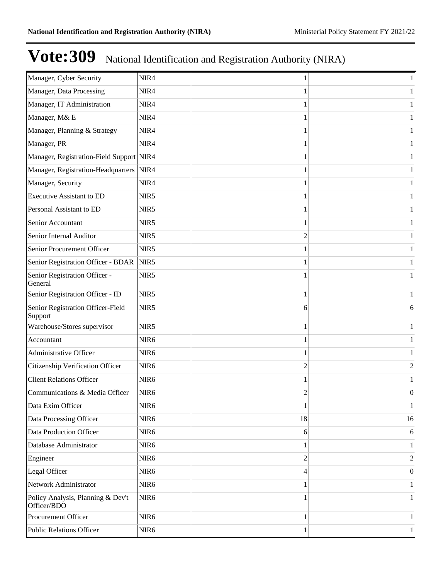| Manager, Cyber Security                          | NIR4             |    |          |
|--------------------------------------------------|------------------|----|----------|
| Manager, Data Processing                         | NIR4             |    |          |
| Manager, IT Administration                       | NIR4             |    |          |
| Manager, M& E                                    | NIR4             |    |          |
| Manager, Planning & Strategy                     | NIR4             |    |          |
| Manager, PR                                      | NIR4             |    |          |
| Manager, Registration-Field Support NIR4         |                  |    |          |
| Manager, Registration-Headquarters               | NIR4             |    |          |
| Manager, Security                                | NIR4             |    |          |
| <b>Executive Assistant to ED</b>                 | NIR5             |    |          |
| Personal Assistant to ED                         | NIR5             |    |          |
| Senior Accountant                                | NIR5             |    |          |
| Senior Internal Auditor                          | NIR5             |    |          |
| Senior Procurement Officer                       | NIR5             |    |          |
| Senior Registration Officer - BDAR               | NIR5             |    |          |
| Senior Registration Officer -<br>General         | NIR5             |    |          |
| Senior Registration Officer - ID                 | NIR5             |    |          |
| Senior Registration Officer-Field<br>Support     | NIR5             | 6  | 6        |
| Warehouse/Stores supervisor                      | NIR5             |    |          |
| Accountant                                       | NIR <sub>6</sub> |    |          |
| Administrative Officer                           | NIR <sub>6</sub> |    |          |
| Citizenship Verification Officer                 | NIR <sub>6</sub> | 2  | 2        |
| <b>Client Relations Officer</b>                  | NIR <sub>6</sub> |    |          |
| Communications & Media Officer                   | NIR <sub>6</sub> | 2  | 0        |
| Data Exim Officer                                | NIR <sub>6</sub> | 1  | 1        |
| Data Processing Officer                          | NIR <sub>6</sub> | 18 | 16       |
| Data Production Officer                          | NIR <sub>6</sub> | 6  | $6 \mid$ |
| Database Administrator                           | NIR <sub>6</sub> |    | 1        |
| Engineer                                         | NIR <sub>6</sub> | 2  | 2        |
| Legal Officer                                    | NIR <sub>6</sub> | 4  | 0        |
| Network Administrator                            | NIR <sub>6</sub> |    | 1        |
| Policy Analysis, Planning & Dev't<br>Officer/BDO | NIR <sub>6</sub> |    |          |
| Procurement Officer                              | NIR <sub>6</sub> |    |          |
| <b>Public Relations Officer</b>                  | NIR <sub>6</sub> | 1  | 1        |